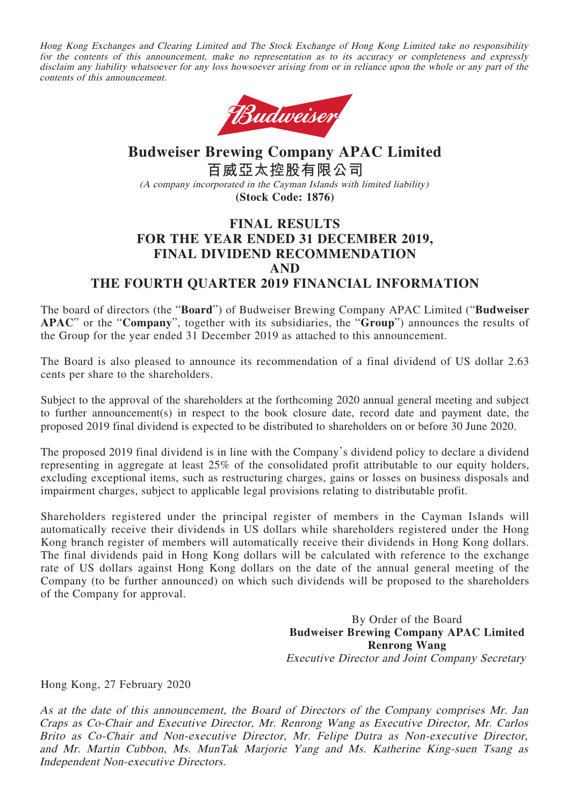Hong Kong Exchanges and Clearing Limited and The Stock Exchange of Hong Kong Limited take no responsibility for the contents of this announcement, make no representation as to its accuracy or completeness and expressly disclaim any liability whatsoever for any loss howsoever arising from or in reliance upon the whole or any part of the contents of this announcement.



# **Budweiser Brewing Company APAC Limited 百威亞太控股有限公司** (A company incorporated in the Cayman Islands with limited liability) **(Stock Code: 1876)**

# **FINAL RESULTS FOR THE YEAR ENDED 31 DECEMBER 2019, FINAL DIVIDEND RECOMMENDATION AND THE FOURTH QUARTER 2019 FINANCIAL INFORMATION**

The board of directors (the "**Board**") of Budweiser Brewing Company APAC Limited ("**Budweiser APAC**" or the "**Company**", together with its subsidiaries, the "**Group**") announces the results of the Group for the year ended 31 December 2019 as attached to this announcement.

The Board is also pleased to announce its recommendation of a final dividend of US dollar 2.63 cents per share to the shareholders.

Subject to the approval of the shareholders at the forthcoming 2020 annual general meeting and subject to further announcement(s) in respect to the book closure date, record date and payment date, the proposed 2019 final dividend is expected to be distributed to shareholders on or before 30 June 2020.

The proposed 2019 final dividend is in line with the Company's dividend policy to declare a dividend representing in aggregate at least 25% of the consolidated profit attributable to our equity holders, excluding exceptional items, such as restructuring charges, gains or losses on business disposals and impairment charges, subject to applicable legal provisions relating to distributable profit.

Shareholders registered under the principal register of members in the Cayman Islands will automatically receive their dividends in US dollars while shareholders registered under the Hong Kong branch register of members will automatically receive their dividends in Hong Kong dollars. The final dividends paid in Hong Kong dollars will be calculated with reference to the exchange rate of US dollars against Hong Kong dollars on the date of the annual general meeting of the Company (to be further announced) on which such dividends will be proposed to the shareholders of the Company for approval.

> By Order of the Board **Budweiser Brewing Company APAC Limited Renrong Wang** Executive Director and Joint Company Secretary

Hong Kong, 27 February 2020

As at the date of this announcement, the Board of Directors of the Company comprises Mr. Jan Craps as Co-Chair and Executive Director, Mr. Renrong Wang as Executive Director, Mr. Carlos Brito as Co-Chair and Non-executive Director, Mr. Felipe Dutra as Non-executive Director, and Mr. Martin Cubbon, Ms. MunTak Marjorie Yang and Ms. Katherine King-suen Tsang as Independent Non-executive Directors.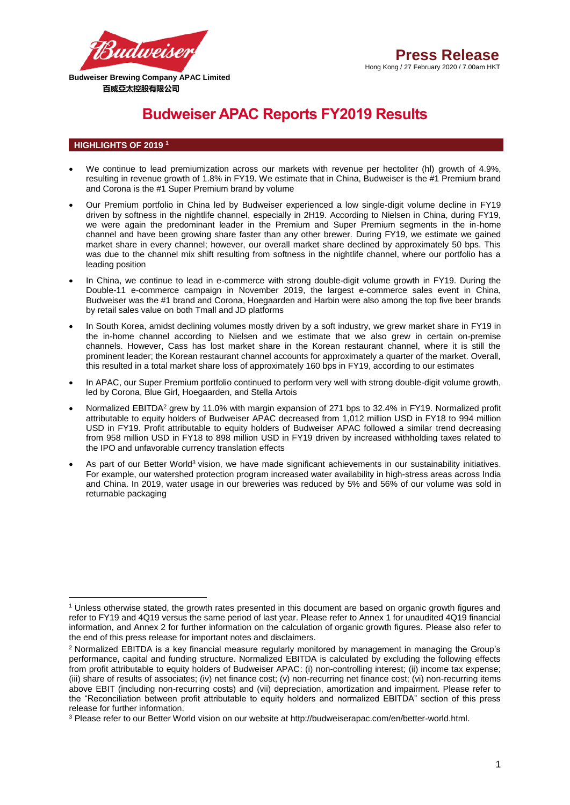

# **Budweiser APAC Reports FY2019 Results**

# **HIGHLIGHTS OF 2019 <sup>1</sup>**

**.** 

- We continue to lead premiumization across our markets with revenue per hectoliter (hl) growth of 4.9%, resulting in revenue growth of 1.8% in FY19. We estimate that in China, Budweiser is the #1 Premium brand and Corona is the #1 Super Premium brand by volume
- Our Premium portfolio in China led by Budweiser experienced a low single-digit volume decline in FY19 driven by softness in the nightlife channel, especially in 2H19. According to Nielsen in China, during FY19, we were again the predominant leader in the Premium and Super Premium segments in the in-home channel and have been growing share faster than any other brewer. During FY19, we estimate we gained market share in every channel; however, our overall market share declined by approximately 50 bps. This was due to the channel mix shift resulting from softness in the nightlife channel, where our portfolio has a leading position
- In China, we continue to lead in e-commerce with strong double-digit volume growth in FY19. During the Double-11 e-commerce campaign in November 2019, the largest e-commerce sales event in China, Budweiser was the #1 brand and Corona, Hoegaarden and Harbin were also among the top five beer brands by retail sales value on both Tmall and JD platforms
- In South Korea, amidst declining volumes mostly driven by a soft industry, we grew market share in FY19 in the in-home channel according to Nielsen and we estimate that we also grew in certain on-premise channels. However, Cass has lost market share in the Korean restaurant channel, where it is still the prominent leader; the Korean restaurant channel accounts for approximately a quarter of the market. Overall, this resulted in a total market share loss of approximately 160 bps in FY19, according to our estimates
- In APAC, our Super Premium portfolio continued to perform very well with strong double-digit volume growth, led by Corona, Blue Girl, Hoegaarden, and Stella Artois
- Normalized EBITDA<sup>2</sup> grew by 11.0% with margin expansion of 271 bps to 32.4% in FY19. Normalized profit attributable to equity holders of Budweiser APAC decreased from 1,012 million USD in FY18 to 994 million USD in FY19. Profit attributable to equity holders of Budweiser APAC followed a similar trend decreasing from 958 million USD in FY18 to 898 million USD in FY19 driven by increased withholding taxes related to the IPO and unfavorable currency translation effects
- As part of our Better World<sup>3</sup> vision, we have made significant achievements in our sustainability initiatives. For example, our watershed protection program increased water availability in high-stress areas across India and China. In 2019, water usage in our breweries was reduced by 5% and 56% of our volume was sold in returnable packaging

<sup>1</sup> Unless otherwise stated, the growth rates presented in this document are based on organic growth figures and refer to FY19 and 4Q19 versus the same period of last year. Please refer to Annex 1 for unaudited 4Q19 financial information, and Annex 2 for further information on the calculation of organic growth figures. Please also refer to the end of this press release for important notes and disclaimers.

<sup>2</sup> Normalized EBITDA is a key financial measure regularly monitored by management in managing the Group's performance, capital and funding structure. Normalized EBITDA is calculated by excluding the following effects from profit attributable to equity holders of Budweiser APAC: (i) non-controlling interest; (ii) income tax expense; (iii) share of results of associates; (iv) net finance cost; (v) non-recurring net finance cost; (vi) non-recurring items above EBIT (including non-recurring costs) and (vii) depreciation, amortization and impairment. Please refer to the "Reconciliation between profit attributable to equity holders and normalized EBITDA" section of this press release for further information.

<sup>3</sup> Please refer to our Better World vision on our website at http://budweiserapac.com/en/better-world.html.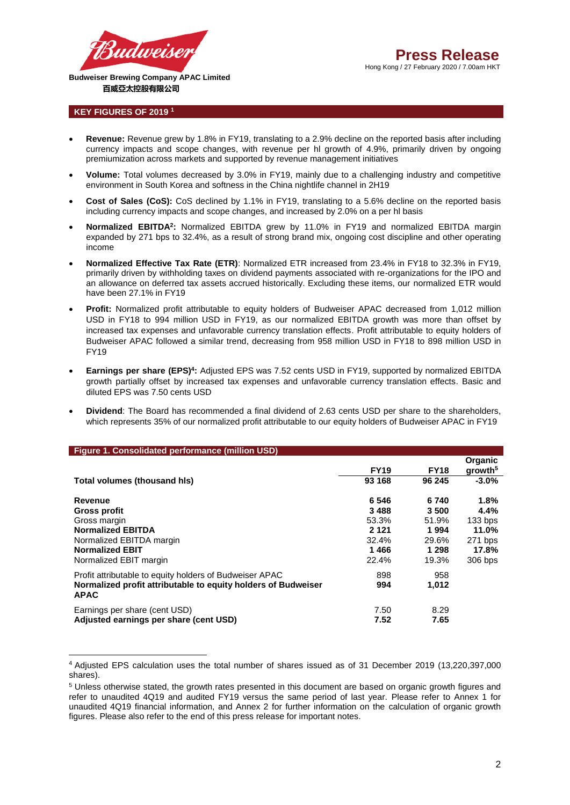

# **KEY FIGURES OF 2019 <sup>1</sup>**

1

- **Revenue:** Revenue grew by 1.8% in FY19, translating to a 2.9% decline on the reported basis after including currency impacts and scope changes, with revenue per hl growth of 4.9%, primarily driven by ongoing premiumization across markets and supported by revenue management initiatives
- **Volume:** Total volumes decreased by 3.0% in FY19, mainly due to a challenging industry and competitive environment in South Korea and softness in the China nightlife channel in 2H19
- **Cost of Sales (CoS):** CoS declined by 1.1% in FY19, translating to a 5.6% decline on the reported basis including currency impacts and scope changes, and increased by 2.0% on a per hl basis
- **Normalized EBITDA<sup>2</sup>:** Normalized EBITDA grew by 11.0% in FY19 and normalized EBITDA margin expanded by 271 bps to 32.4%, as a result of strong brand mix, ongoing cost discipline and other operating income
- **Normalized Effective Tax Rate (ETR)**: Normalized ETR increased from 23.4% in FY18 to 32.3% in FY19, primarily driven by withholding taxes on dividend payments associated with re-organizations for the IPO and an allowance on deferred tax assets accrued historically. Excluding these items, our normalized ETR would have been 27.1% in FY19
- **Profit:** Normalized profit attributable to equity holders of Budweiser APAC decreased from 1,012 million USD in FY18 to 994 million USD in FY19, as our normalized EBITDA growth was more than offset by increased tax expenses and unfavorable currency translation effects. Profit attributable to equity holders of Budweiser APAC followed a similar trend, decreasing from 958 million USD in FY18 to 898 million USD in FY19
- **Earnings per share (EPS)<sup>4</sup> :** Adjusted EPS was 7.52 cents USD in FY19, supported by normalized EBITDA growth partially offset by increased tax expenses and unfavorable currency translation effects. Basic and diluted EPS was 7.50 cents USD
- **Dividend**: The Board has recommended a final dividend of 2.63 cents USD per share to the shareholders, which represents 35% of our normalized profit attributable to our equity holders of Budweiser APAC in FY19

| <b>Figure 1. Consolidated performance (million USD)</b>                      |             |             |                                |
|------------------------------------------------------------------------------|-------------|-------------|--------------------------------|
|                                                                              | <b>FY19</b> | <b>FY18</b> | Organic<br>growth <sup>5</sup> |
| Total volumes (thousand his)                                                 | 93 168      | 96 245      | $-3.0%$                        |
| Revenue                                                                      | 6546        | 6740        | 1.8%                           |
| Gross profit                                                                 | 3488        | 3500        | 4.4%                           |
| Gross margin                                                                 | 53.3%       | 51.9%       | 133 bps                        |
| <b>Normalized EBITDA</b>                                                     | 2 1 2 1     | 1994        | 11.0%                          |
| Normalized EBITDA margin                                                     | 32.4%       | 29.6%       | 271 bps                        |
| <b>Normalized EBIT</b>                                                       | 1466        | 1 298       | 17.8%                          |
| Normalized EBIT margin                                                       | 22.4%       | 19.3%       | 306 bps                        |
| Profit attributable to equity holders of Budweiser APAC                      | 898         | 958         |                                |
| Normalized profit attributable to equity holders of Budweiser<br><b>APAC</b> | 994         | 1,012       |                                |
| Earnings per share (cent USD)                                                | 7.50        | 8.29        |                                |
| Adjusted earnings per share (cent USD)                                       | 7.52        | 7.65        |                                |

<sup>4</sup> Adjusted EPS calculation uses the total number of shares issued as of 31 December 2019 (13,220,397,000 shares).

<sup>5</sup> Unless otherwise stated, the growth rates presented in this document are based on organic growth figures and refer to unaudited 4Q19 and audited FY19 versus the same period of last year. Please refer to Annex 1 for unaudited 4Q19 financial information, and Annex 2 for further information on the calculation of organic growth figures. Please also refer to the end of this press release for important notes.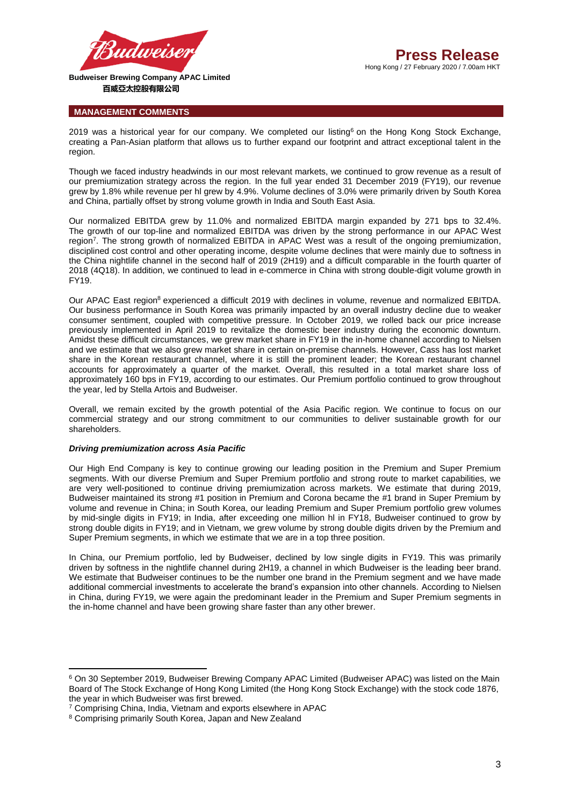

## **MANAGEMENT COMMENTS**

2019 was a historical year for our company. We completed our listing<sup>6</sup> on the Hong Kong Stock Exchange. creating a Pan-Asian platform that allows us to further expand our footprint and attract exceptional talent in the region.

Though we faced industry headwinds in our most relevant markets, we continued to grow revenue as a result of our premiumization strategy across the region. In the full year ended 31 December 2019 (FY19), our revenue grew by 1.8% while revenue per hl grew by 4.9%. Volume declines of 3.0% were primarily driven by South Korea and China, partially offset by strong volume growth in India and South East Asia.

Our normalized EBITDA grew by 11.0% and normalized EBITDA margin expanded by 271 bps to 32.4%. The growth of our top-line and normalized EBITDA was driven by the strong performance in our APAC West region<sup>7</sup>. The strong growth of normalized EBITDA in APAC West was a result of the ongoing premiumization, disciplined cost control and other operating income, despite volume declines that were mainly due to softness in the China nightlife channel in the second half of 2019 (2H19) and a difficult comparable in the fourth quarter of 2018 (4Q18). In addition, we continued to lead in e-commerce in China with strong double-digit volume growth in FY19.

Our APAC East region<sup>8</sup> experienced a difficult 2019 with declines in volume, revenue and normalized EBITDA. Our business performance in South Korea was primarily impacted by an overall industry decline due to weaker consumer sentiment, coupled with competitive pressure. In October 2019, we rolled back our price increase previously implemented in April 2019 to revitalize the domestic beer industry during the economic downturn. Amidst these difficult circumstances, we grew market share in FY19 in the in-home channel according to Nielsen and we estimate that we also grew market share in certain on-premise channels. However, Cass has lost market share in the Korean restaurant channel, where it is still the prominent leader; the Korean restaurant channel accounts for approximately a quarter of the market. Overall, this resulted in a total market share loss of approximately 160 bps in FY19, according to our estimates. Our Premium portfolio continued to grow throughout the year, led by Stella Artois and Budweiser.

Overall, we remain excited by the growth potential of the Asia Pacific region. We continue to focus on our commercial strategy and our strong commitment to our communities to deliver sustainable growth for our shareholders.

## *Driving premiumization across Asia Pacific*

Our High End Company is key to continue growing our leading position in the Premium and Super Premium segments. With our diverse Premium and Super Premium portfolio and strong route to market capabilities, we are very well-positioned to continue driving premiumization across markets. We estimate that during 2019, Budweiser maintained its strong #1 position in Premium and Corona became the #1 brand in Super Premium by volume and revenue in China; in South Korea, our leading Premium and Super Premium portfolio grew volumes by mid-single digits in FY19; in India, after exceeding one million hl in FY18, Budweiser continued to grow by strong double digits in FY19; and in Vietnam, we grew volume by strong double digits driven by the Premium and Super Premium segments, in which we estimate that we are in a top three position.

In China, our Premium portfolio, led by Budweiser, declined by low single digits in FY19. This was primarily driven by softness in the nightlife channel during 2H19, a channel in which Budweiser is the leading beer brand. We estimate that Budweiser continues to be the number one brand in the Premium segment and we have made additional commercial investments to accelerate the brand's expansion into other channels. According to Nielsen in China, during FY19, we were again the predominant leader in the Premium and Super Premium segments in the in-home channel and have been growing share faster than any other brewer.

 $\overline{a}$ 

<sup>6</sup> On 30 September 2019, Budweiser Brewing Company APAC Limited (Budweiser APAC) was listed on the Main Board of The Stock Exchange of Hong Kong Limited (the Hong Kong Stock Exchange) with the stock code 1876, the year in which Budweiser was first brewed.

<sup>7</sup> Comprising China, India, Vietnam and exports elsewhere in APAC

<sup>8</sup> Comprising primarily South Korea, Japan and New Zealand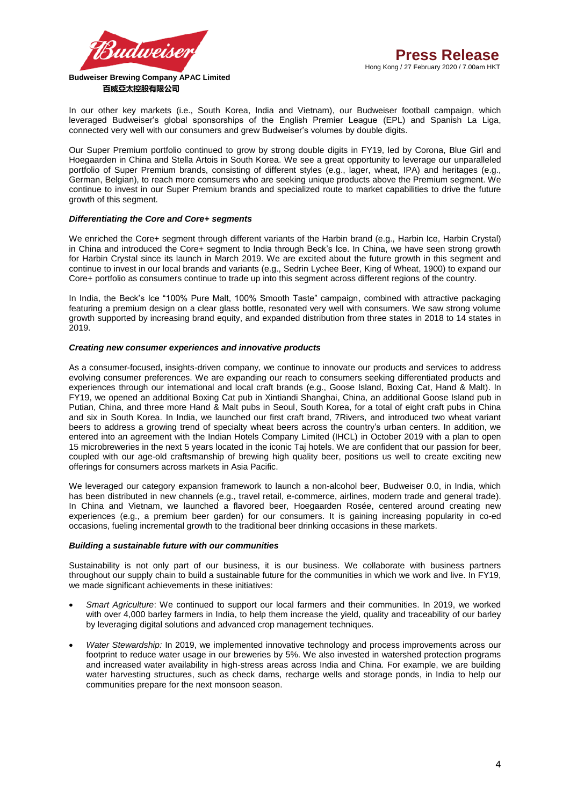

In our other key markets (i.e., South Korea, India and Vietnam), our Budweiser football campaign, which leveraged Budweiser's global sponsorships of the English Premier League (EPL) and Spanish La Liga, connected very well with our consumers and grew Budweiser's volumes by double digits.

Our Super Premium portfolio continued to grow by strong double digits in FY19, led by Corona, Blue Girl and Hoegaarden in China and Stella Artois in South Korea. We see a great opportunity to leverage our unparalleled portfolio of Super Premium brands, consisting of different styles (e.g., lager, wheat, IPA) and heritages (e.g., German, Belgian), to reach more consumers who are seeking unique products above the Premium segment. We continue to invest in our Super Premium brands and specialized route to market capabilities to drive the future growth of this segment.

## *Differentiating the Core and Core+ segments*

We enriched the Core+ segment through different variants of the Harbin brand (e.g., Harbin Ice, Harbin Crystal) in China and introduced the Core+ segment to India through Beck's Ice. In China, we have seen strong growth for Harbin Crystal since its launch in March 2019. We are excited about the future growth in this segment and continue to invest in our local brands and variants (e.g., Sedrin Lychee Beer, King of Wheat, 1900) to expand our Core+ portfolio as consumers continue to trade up into this segment across different regions of the country.

In India, the Beck's Ice "100% Pure Malt, 100% Smooth Taste" campaign, combined with attractive packaging featuring a premium design on a clear glass bottle, resonated very well with consumers. We saw strong volume growth supported by increasing brand equity, and expanded distribution from three states in 2018 to 14 states in 2019.

## *Creating new consumer experiences and innovative products*

As a consumer-focused, insights-driven company, we continue to innovate our products and services to address evolving consumer preferences. We are expanding our reach to consumers seeking differentiated products and experiences through our international and local craft brands (e.g., Goose Island, Boxing Cat, Hand & Malt). In FY19, we opened an additional Boxing Cat pub in Xintiandi Shanghai, China, an additional Goose Island pub in Putian, China, and three more Hand & Malt pubs in Seoul, South Korea, for a total of eight craft pubs in China and six in South Korea. In India, we launched our first craft brand, 7Rivers, and introduced two wheat variant beers to address a growing trend of specialty wheat beers across the country's urban centers. In addition, we entered into an agreement with the Indian Hotels Company Limited (IHCL) in October 2019 with a plan to open 15 microbreweries in the next 5 years located in the iconic Taj hotels. We are confident that our passion for beer, coupled with our age-old craftsmanship of brewing high quality beer, positions us well to create exciting new offerings for consumers across markets in Asia Pacific.

We leveraged our category expansion framework to launch a non-alcohol beer, Budweiser 0.0, in India, which has been distributed in new channels (e.g., travel retail, e-commerce, airlines, modern trade and general trade). In China and Vietnam, we launched a flavored beer, Hoegaarden Rosée, centered around creating new experiences (e.g., a premium beer garden) for our consumers. It is gaining increasing popularity in co-ed occasions, fueling incremental growth to the traditional beer drinking occasions in these markets.

## *Building a sustainable future with our communities*

Sustainability is not only part of our business, it is our business. We collaborate with business partners throughout our supply chain to build a sustainable future for the communities in which we work and live. In FY19, we made significant achievements in these initiatives:

- *Smart Agriculture*: We continued to support our local farmers and their communities. In 2019, we worked with over 4,000 barley farmers in India, to help them increase the yield, quality and traceability of our barley by leveraging digital solutions and advanced crop management techniques.
- *Water Stewardship:* In 2019, we implemented innovative technology and process improvements across our footprint to reduce water usage in our breweries by 5%. We also invested in watershed protection programs and increased water availability in high-stress areas across India and China. For example, we are building water harvesting structures, such as check dams, recharge wells and storage ponds, in India to help our communities prepare for the next monsoon season.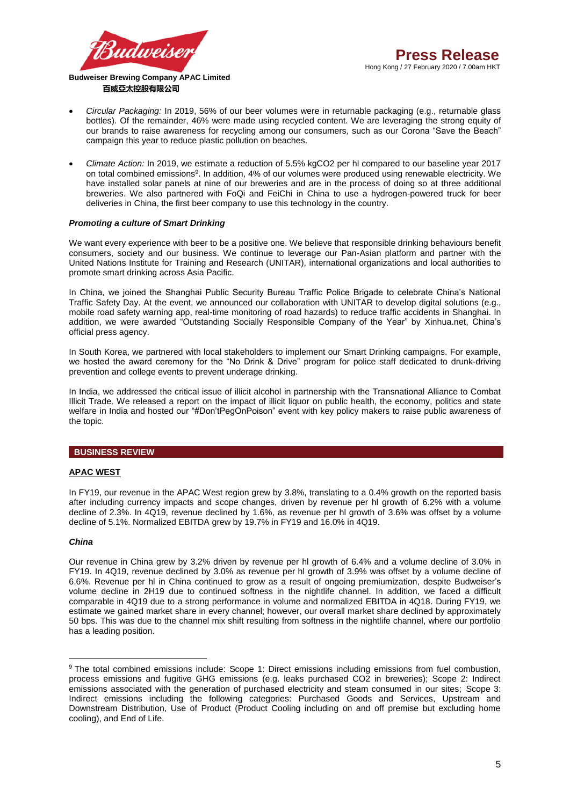

- *Circular Packaging:* In 2019, 56% of our beer volumes were in returnable packaging (e.g., returnable glass bottles). Of the remainder, 46% were made using recycled content. We are leveraging the strong equity of our brands to raise awareness for recycling among our consumers, such as our Corona "Save the Beach" campaign this year to reduce plastic pollution on beaches.
- *Climate Action:* In 2019, we estimate a reduction of 5.5% kgCO2 per hl compared to our baseline year 2017 on total combined emissions<sup>9</sup>. In addition, 4% of our volumes were produced using renewable electricity. We have installed solar panels at nine of our breweries and are in the process of doing so at three additional breweries. We also partnered with FoQi and FeiChi in China to use a hydrogen-powered truck for beer deliveries in China, the first beer company to use this technology in the country.

# *Promoting a culture of Smart Drinking*

We want every experience with beer to be a positive one. We believe that responsible drinking behaviours benefit consumers, society and our business. We continue to leverage our Pan-Asian platform and partner with the United Nations Institute for Training and Research (UNITAR), international organizations and local authorities to promote smart drinking across Asia Pacific.

In China, we joined the Shanghai Public Security Bureau Traffic Police Brigade to celebrate China's National Traffic Safety Day. At the event, we announced our collaboration with UNITAR to develop digital solutions (e.g., mobile road safety warning app, real-time monitoring of road hazards) to reduce traffic accidents in Shanghai. In addition, we were awarded "Outstanding Socially Responsible Company of the Year" by Xinhua.net, China's official press agency.

In South Korea, we partnered with local stakeholders to implement our Smart Drinking campaigns. For example, we hosted the award ceremony for the "No Drink & Drive" program for police staff dedicated to drunk-driving prevention and college events to prevent underage drinking.

In India, we addressed the critical issue of illicit alcohol in partnership with the Transnational Alliance to Combat Illicit Trade. We released a report on the impact of illicit liquor on public health, the economy, politics and state welfare in India and hosted our "#Don'tPegOnPoison" event with key policy makers to raise public awareness of the topic.

# **BUSINESS REVIEW**

## **APAC WEST**

In FY19, our revenue in the APAC West region grew by 3.8%, translating to a 0.4% growth on the reported basis after including currency impacts and scope changes, driven by revenue per hl growth of 6.2% with a volume decline of 2.3%. In 4Q19, revenue declined by 1.6%, as revenue per hl growth of 3.6% was offset by a volume decline of 5.1%. Normalized EBITDA grew by 19.7% in FY19 and 16.0% in 4Q19.

## *China*

**.** 

Our revenue in China grew by 3.2% driven by revenue per hl growth of 6.4% and a volume decline of 3.0% in FY19. In 4Q19, revenue declined by 3.0% as revenue per hl growth of 3.9% was offset by a volume decline of 6.6%. Revenue per hl in China continued to grow as a result of ongoing premiumization, despite Budweiser's volume decline in 2H19 due to continued softness in the nightlife channel. In addition, we faced a difficult comparable in 4Q19 due to a strong performance in volume and normalized EBITDA in 4Q18. During FY19, we estimate we gained market share in every channel; however, our overall market share declined by approximately 50 bps. This was due to the channel mix shift resulting from softness in the nightlife channel, where our portfolio has a leading position.

<sup>9</sup> The total combined emissions include: Scope 1: Direct emissions including emissions from fuel combustion, process emissions and fugitive GHG emissions (e.g. leaks purchased CO2 in breweries); Scope 2: Indirect emissions associated with the generation of purchased electricity and steam consumed in our sites; Scope 3: Indirect emissions including the following categories: Purchased Goods and Services, Upstream and Downstream Distribution, Use of Product (Product Cooling including on and off premise but excluding home cooling), and End of Life.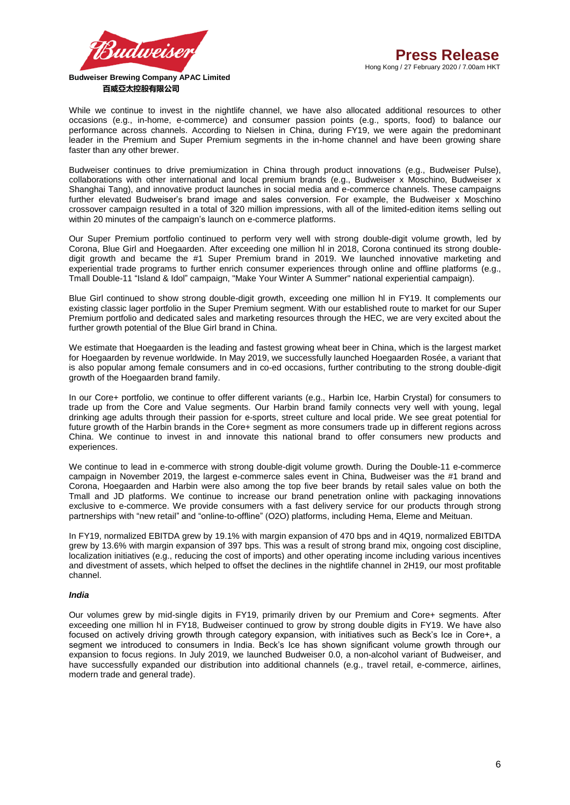

While we continue to invest in the nightlife channel, we have also allocated additional resources to other occasions (e.g., in-home, e-commerce) and consumer passion points (e.g., sports, food) to balance our performance across channels. According to Nielsen in China, during FY19, we were again the predominant leader in the Premium and Super Premium segments in the in-home channel and have been growing share faster than any other brewer.

Budweiser continues to drive premiumization in China through product innovations (e.g., Budweiser Pulse), collaborations with other international and local premium brands (e.g., Budweiser x Moschino, Budweiser x Shanghai Tang), and innovative product launches in social media and e-commerce channels. These campaigns further elevated Budweiser's brand image and sales conversion. For example, the Budweiser x Moschino crossover campaign resulted in a total of 320 million impressions, with all of the limited-edition items selling out within 20 minutes of the campaign's launch on e-commerce platforms.

Our Super Premium portfolio continued to perform very well with strong double-digit volume growth, led by Corona, Blue Girl and Hoegaarden. After exceeding one million hl in 2018, Corona continued its strong doubledigit growth and became the #1 Super Premium brand in 2019. We launched innovative marketing and experiential trade programs to further enrich consumer experiences through online and offline platforms (e.g., Tmall Double-11 "Island & Idol" campaign, "Make Your Winter A Summer" national experiential campaign).

Blue Girl continued to show strong double-digit growth, exceeding one million hl in FY19. It complements our existing classic lager portfolio in the Super Premium segment. With our established route to market for our Super Premium portfolio and dedicated sales and marketing resources through the HEC, we are very excited about the further growth potential of the Blue Girl brand in China.

We estimate that Hoegaarden is the leading and fastest growing wheat beer in China, which is the largest market for Hoegaarden by revenue worldwide. In May 2019, we successfully launched Hoegaarden Rosée, a variant that is also popular among female consumers and in co-ed occasions, further contributing to the strong double-digit growth of the Hoegaarden brand family.

In our Core+ portfolio, we continue to offer different variants (e.g., Harbin Ice, Harbin Crystal) for consumers to trade up from the Core and Value segments. Our Harbin brand family connects very well with young, legal drinking age adults through their passion for e-sports, street culture and local pride. We see great potential for future growth of the Harbin brands in the Core+ segment as more consumers trade up in different regions across China. We continue to invest in and innovate this national brand to offer consumers new products and experiences.

We continue to lead in e-commerce with strong double-digit volume growth. During the Double-11 e-commerce campaign in November 2019, the largest e-commerce sales event in China, Budweiser was the #1 brand and Corona, Hoegaarden and Harbin were also among the top five beer brands by retail sales value on both the Tmall and JD platforms. We continue to increase our brand penetration online with packaging innovations exclusive to e-commerce. We provide consumers with a fast delivery service for our products through strong partnerships with "new retail" and "online-to-offline" (O2O) platforms, including Hema, Eleme and Meituan.

In FY19, normalized EBITDA grew by 19.1% with margin expansion of 470 bps and in 4Q19, normalized EBITDA grew by 13.6% with margin expansion of 397 bps. This was a result of strong brand mix, ongoing cost discipline, localization initiatives (e.g., reducing the cost of imports) and other operating income including various incentives and divestment of assets, which helped to offset the declines in the nightlife channel in 2H19, our most profitable channel.

## *India*

Our volumes grew by mid-single digits in FY19, primarily driven by our Premium and Core+ segments. After exceeding one million hl in FY18, Budweiser continued to grow by strong double digits in FY19. We have also focused on actively driving growth through category expansion, with initiatives such as Beck's Ice in Core+, a segment we introduced to consumers in India. Beck's Ice has shown significant volume growth through our expansion to focus regions. In July 2019, we launched Budweiser 0.0, a non-alcohol variant of Budweiser, and have successfully expanded our distribution into additional channels (e.g., travel retail, e-commerce, airlines, modern trade and general trade).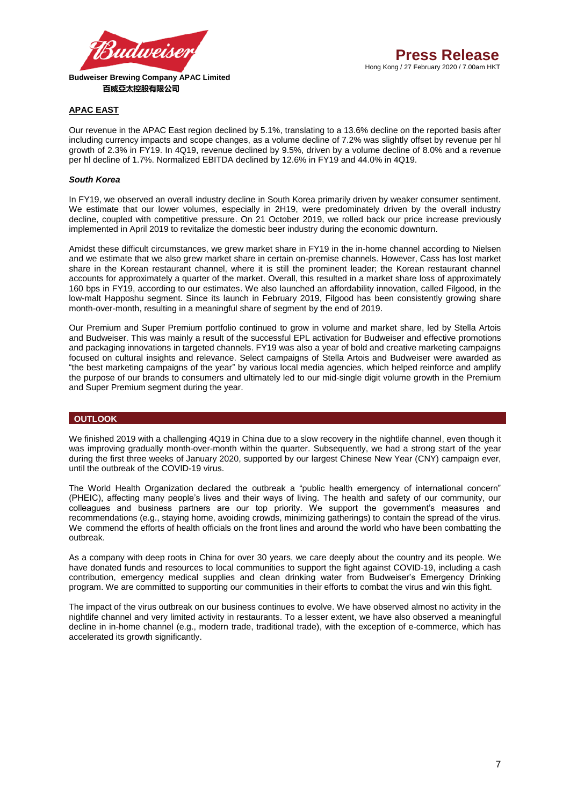

# **APAC EAST**

Our revenue in the APAC East region declined by 5.1%, translating to a 13.6% decline on the reported basis after including currency impacts and scope changes, as a volume decline of 7.2% was slightly offset by revenue per hl growth of 2.3% in FY19. In 4Q19, revenue declined by 9.5%, driven by a volume decline of 8.0% and a revenue per hl decline of 1.7%. Normalized EBITDA declined by 12.6% in FY19 and 44.0% in 4Q19.

## *South Korea*

In FY19, we observed an overall industry decline in South Korea primarily driven by weaker consumer sentiment. We estimate that our lower volumes, especially in 2H19, were predominately driven by the overall industry decline, coupled with competitive pressure. On 21 October 2019, we rolled back our price increase previously implemented in April 2019 to revitalize the domestic beer industry during the economic downturn.

Amidst these difficult circumstances, we grew market share in FY19 in the in-home channel according to Nielsen and we estimate that we also grew market share in certain on-premise channels. However, Cass has lost market share in the Korean restaurant channel, where it is still the prominent leader; the Korean restaurant channel accounts for approximately a quarter of the market. Overall, this resulted in a market share loss of approximately 160 bps in FY19, according to our estimates. We also launched an affordability innovation, called Filgood, in the low-malt Happoshu segment. Since its launch in February 2019, Filgood has been consistently growing share month-over-month, resulting in a meaningful share of segment by the end of 2019.

Our Premium and Super Premium portfolio continued to grow in volume and market share, led by Stella Artois and Budweiser. This was mainly a result of the successful EPL activation for Budweiser and effective promotions and packaging innovations in targeted channels. FY19 was also a year of bold and creative marketing campaigns focused on cultural insights and relevance. Select campaigns of Stella Artois and Budweiser were awarded as "the best marketing campaigns of the year" by various local media agencies, which helped reinforce and amplify the purpose of our brands to consumers and ultimately led to our mid-single digit volume growth in the Premium and Super Premium segment during the year.

# **OUTLOOK**

We finished 2019 with a challenging 4Q19 in China due to a slow recovery in the nightlife channel, even though it was improving gradually month-over-month within the quarter. Subsequently, we had a strong start of the year during the first three weeks of January 2020, supported by our largest Chinese New Year (CNY) campaign ever, until the outbreak of the COVID-19 virus.

The World Health Organization declared the outbreak a "public health emergency of international concern" (PHEIC), affecting many people's lives and their ways of living. The health and safety of our community, our colleagues and business partners are our top priority. We support the government's measures and recommendations (e.g., staying home, avoiding crowds, minimizing gatherings) to contain the spread of the virus. We commend the efforts of health officials on the front lines and around the world who have been combatting the outbreak.

As a company with deep roots in China for over 30 years, we care deeply about the country and its people. We have donated funds and resources to local communities to support the fight against COVID-19, including a cash contribution, emergency medical supplies and clean drinking water from Budweiser's Emergency Drinking program. We are committed to supporting our communities in their efforts to combat the virus and win this fight.

The impact of the virus outbreak on our business continues to evolve. We have observed almost no activity in the nightlife channel and very limited activity in restaurants. To a lesser extent, we have also observed a meaningful decline in in-home channel (e.g., modern trade, traditional trade), with the exception of e-commerce, which has accelerated its growth significantly.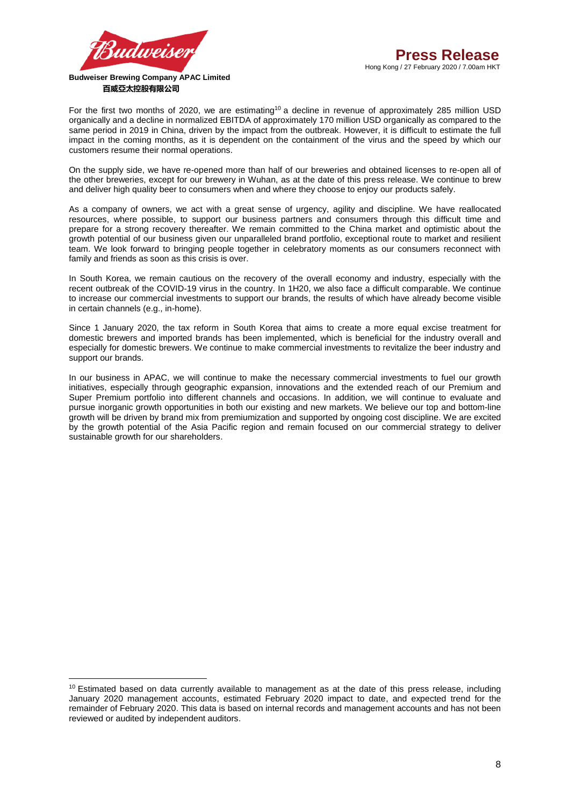

**.** 

For the first two months of 2020, we are estimating<sup>10</sup> a decline in revenue of approximately 285 million USD organically and a decline in normalized EBITDA of approximately 170 million USD organically as compared to the same period in 2019 in China, driven by the impact from the outbreak. However, it is difficult to estimate the full impact in the coming months, as it is dependent on the containment of the virus and the speed by which our customers resume their normal operations.

On the supply side, we have re-opened more than half of our breweries and obtained licenses to re-open all of the other breweries, except for our brewery in Wuhan, as at the date of this press release. We continue to brew and deliver high quality beer to consumers when and where they choose to enjoy our products safely.

As a company of owners, we act with a great sense of urgency, agility and discipline. We have reallocated resources, where possible, to support our business partners and consumers through this difficult time and prepare for a strong recovery thereafter. We remain committed to the China market and optimistic about the growth potential of our business given our unparalleled brand portfolio, exceptional route to market and resilient team. We look forward to bringing people together in celebratory moments as our consumers reconnect with family and friends as soon as this crisis is over.

In South Korea, we remain cautious on the recovery of the overall economy and industry, especially with the recent outbreak of the COVID-19 virus in the country. In 1H20, we also face a difficult comparable. We continue to increase our commercial investments to support our brands, the results of which have already become visible in certain channels (e.g., in-home).

Since 1 January 2020, the tax reform in South Korea that aims to create a more equal excise treatment for domestic brewers and imported brands has been implemented, which is beneficial for the industry overall and especially for domestic brewers. We continue to make commercial investments to revitalize the beer industry and support our brands.

In our business in APAC, we will continue to make the necessary commercial investments to fuel our growth initiatives, especially through geographic expansion, innovations and the extended reach of our Premium and Super Premium portfolio into different channels and occasions. In addition, we will continue to evaluate and pursue inorganic growth opportunities in both our existing and new markets. We believe our top and bottom-line growth will be driven by brand mix from premiumization and supported by ongoing cost discipline. We are excited by the growth potential of the Asia Pacific region and remain focused on our commercial strategy to deliver sustainable growth for our shareholders.

<sup>&</sup>lt;sup>10</sup> Estimated based on data currently available to management as at the date of this press release, including January 2020 management accounts, estimated February 2020 impact to date, and expected trend for the remainder of February 2020. This data is based on internal records and management accounts and has not been reviewed or audited by independent auditors.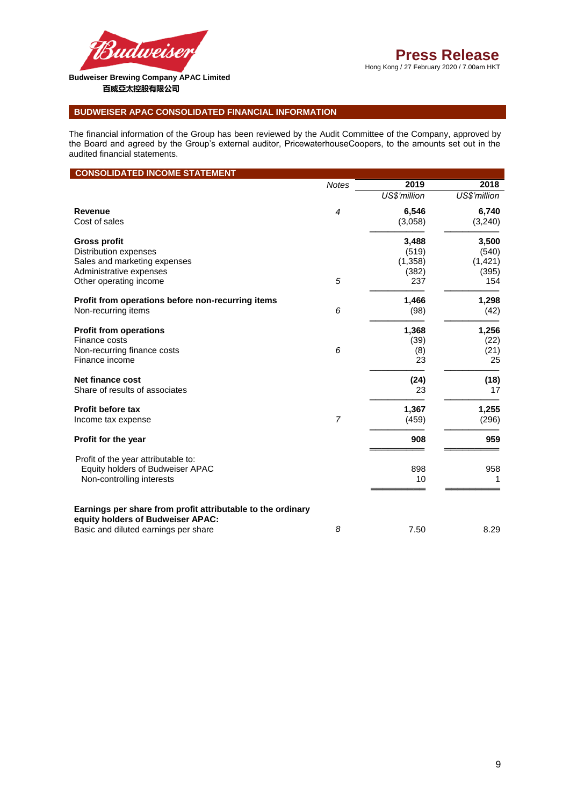

# **Press Release**

Hong Kong / 27 February 2020 / 7.00am HKT

# **百威亞太控股有限公司**

# **BUDWEISER APAC CONSOLIDATED FINANCIAL INFORMATION**

The financial information of the Group has been reviewed by the Audit Committee of the Company, approved by the Board and agreed by the Group's external auditor, PricewaterhouseCoopers, to the amounts set out in the audited financial statements.

# **CONSOLIDATED INCOME STATEMENT**

|                                                                                                      | <b>Notes</b>   | 2019         | 2018         |
|------------------------------------------------------------------------------------------------------|----------------|--------------|--------------|
|                                                                                                      |                | US\$'million | US\$'million |
| <b>Revenue</b>                                                                                       | $\overline{4}$ | 6,546        | 6,740        |
| Cost of sales                                                                                        |                | (3,058)      | (3, 240)     |
| <b>Gross profit</b>                                                                                  | 5              | 3,488        | 3,500        |
| <b>Distribution expenses</b>                                                                         |                | (519)        | (540)        |
| Sales and marketing expenses                                                                         |                | (1, 358)     | (1, 421)     |
| Administrative expenses                                                                              |                | (382)        | (395)        |
| Other operating income                                                                               |                | 237          | 154          |
| Profit from operations before non-recurring items                                                    | 6              | 1,466        | 1,298        |
| Non-recurring items                                                                                  |                | (98)         | (42)         |
| <b>Profit from operations</b>                                                                        | 6              | 1,368        | 1,256        |
| Finance costs                                                                                        |                | (39)         | (22)         |
| Non-recurring finance costs                                                                          |                | (8)          | (21)         |
| Finance income                                                                                       |                | 23           | 25           |
| <b>Net finance cost</b>                                                                              |                | (24)         | (18)         |
| Share of results of associates                                                                       |                | 23           | 17           |
| <b>Profit before tax</b>                                                                             | $\overline{7}$ | 1,367        | 1,255        |
| Income tax expense                                                                                   |                | (459)        | (296)        |
| Profit for the year                                                                                  |                | 908          | 959          |
| Profit of the year attributable to:<br>Equity holders of Budweiser APAC<br>Non-controlling interests |                | 898<br>10    | 958          |
| Earnings per share from profit attributable to the ordinary<br>equity holders of Budweiser APAC:     |                |              |              |
| Basic and diluted earnings per share                                                                 | 8              | 7.50         | 8.29         |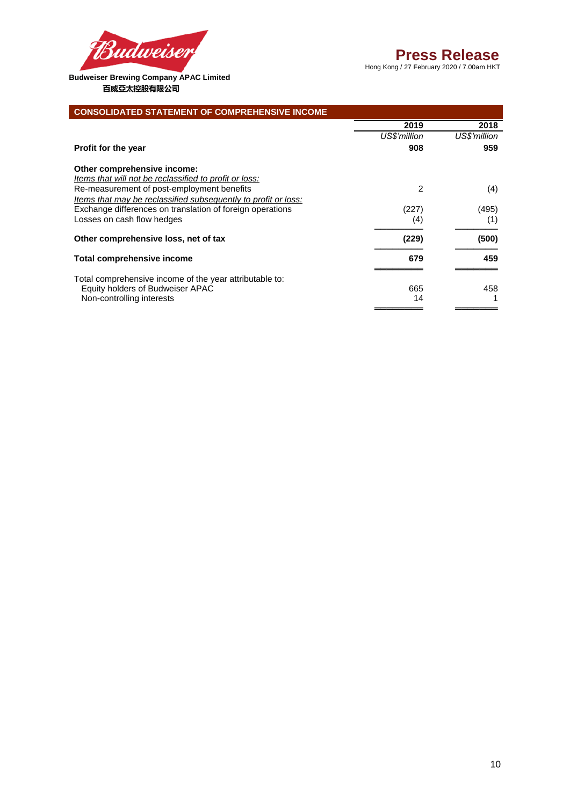

# **Press Release**

Hong Kong / 27 February 2020 / 7.00am HKT

| <b>CONSOLIDATED STATEMENT OF COMPREHENSIVE INCOME</b>          |               |              |
|----------------------------------------------------------------|---------------|--------------|
|                                                                | 2019          | 2018         |
|                                                                | US\$'million  | US\$'million |
| <b>Profit for the year</b>                                     | 908           | 959          |
| Other comprehensive income:                                    |               |              |
| <u>Items that will not be reclassified to profit or loss:</u>  |               |              |
| Re-measurement of post-employment benefits                     | $\mathcal{P}$ | (4)          |
| Items that may be reclassified subsequently to profit or loss: |               |              |
| Exchange differences on translation of foreign operations      | (227)         | (495)        |
| Losses on cash flow hedges                                     | (4)           | (1)          |
| Other comprehensive loss, net of tax                           | (229)         | (500)        |
| <b>Total comprehensive income</b>                              | 679           | 459          |
| Total comprehensive income of the year attributable to:        |               |              |
| Equity holders of Budweiser APAC                               | 665           | 458          |
| Non-controlling interests                                      | 14            |              |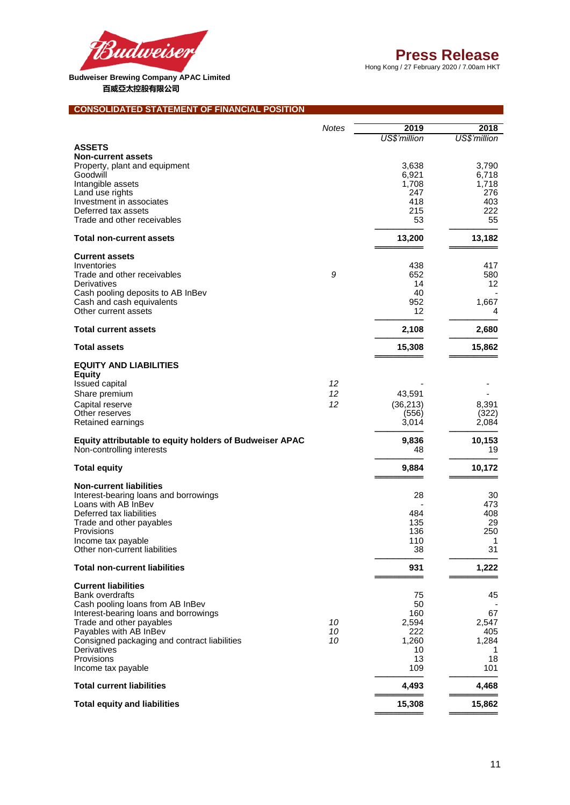

Hong Kong / 27 February 2020 / 7.00am HKT

# **CONSOLIDATED STATEMENT OF FINANCIAL POSITION**

|                                                                                      | <b>Notes</b> | 2019         | 2018         |
|--------------------------------------------------------------------------------------|--------------|--------------|--------------|
|                                                                                      |              | US\$'million | US\$'million |
| <b>ASSETS</b>                                                                        |              |              |              |
| <b>Non-current assets</b>                                                            |              |              |              |
| Property, plant and equipment                                                        |              | 3,638        | 3,790        |
| Goodwill                                                                             |              | 6,921        | 6,718        |
| Intangible assets                                                                    |              | 1,708        | 1,718        |
| Land use rights                                                                      |              | 247          | 276          |
| Investment in associates                                                             |              | 418          | 403          |
| Deferred tax assets                                                                  |              | 215          | 222          |
| Trade and other receivables                                                          |              | 53           | 55           |
| <b>Total non-current assets</b>                                                      |              | 13,200       | 13,182       |
| <b>Current assets</b>                                                                |              |              |              |
| Inventories                                                                          |              | 438          | 417          |
| Trade and other receivables                                                          | 9            | 652          | 580          |
| Derivatives                                                                          |              | 14           | 12           |
| Cash pooling deposits to AB InBev                                                    |              | 40           |              |
| Cash and cash equivalents                                                            |              | 952          | 1,667        |
| Other current assets                                                                 |              | 12           | 4            |
| <b>Total current assets</b>                                                          |              | 2,108        | 2,680        |
| <b>Total assets</b>                                                                  |              | 15,308       | 15,862       |
| <b>EQUITY AND LIABILITIES</b>                                                        |              |              |              |
| <b>Equity</b>                                                                        |              |              |              |
| <b>Issued capital</b>                                                                | 12           |              |              |
| Share premium                                                                        | 12           | 43,591       |              |
| Capital reserve                                                                      | 12           | (36, 213)    | 8,391        |
| Other reserves                                                                       |              | (556)        | (322)        |
| Retained earnings                                                                    |              | 3,014        | 2,084        |
|                                                                                      |              |              |              |
| Equity attributable to equity holders of Budweiser APAC<br>Non-controlling interests |              | 9,836<br>48  | 10,153<br>19 |
|                                                                                      |              |              |              |
| <b>Total equity</b>                                                                  |              | 9,884        | 10,172       |
| <b>Non-current liabilities</b>                                                       |              |              |              |
| Interest-bearing loans and borrowings                                                |              | 28           | 30           |
| Loans with AB InBev                                                                  |              |              | 473          |
| Deferred tax liabilities                                                             |              | 484          | 408          |
| Trade and other payables                                                             |              | 135          | 29           |
| Provisions                                                                           |              | 136          | 250          |
| Income tax payable                                                                   |              | 110          | 1            |
| Other non-current liabilities                                                        |              | 38           | 31           |
| <b>Total non-current liabilities</b>                                                 |              | 931          | 1,222        |
| <b>Current liabilities</b>                                                           |              |              |              |
| <b>Bank overdrafts</b>                                                               |              | 75           | 45           |
| Cash pooling loans from AB InBev                                                     |              | 50           |              |
| Interest-bearing loans and borrowings                                                |              | 160          | 67           |
| Trade and other payables                                                             | 10           | 2,594        | 2,547        |
| Payables with AB InBev                                                               | 10           | 222          | 405          |
| Consigned packaging and contract liabilities                                         | 10           | 1,260        | 1,284        |
| Derivatives                                                                          |              | 10           | 1            |
| Provisions                                                                           |              | 13           | 18           |
| Income tax payable                                                                   |              | 109          | 101          |
| <b>Total current liabilities</b>                                                     |              | 4,493        | 4,468        |
| <b>Total equity and liabilities</b>                                                  |              | 15,308       | 15,862       |
|                                                                                      |              |              |              |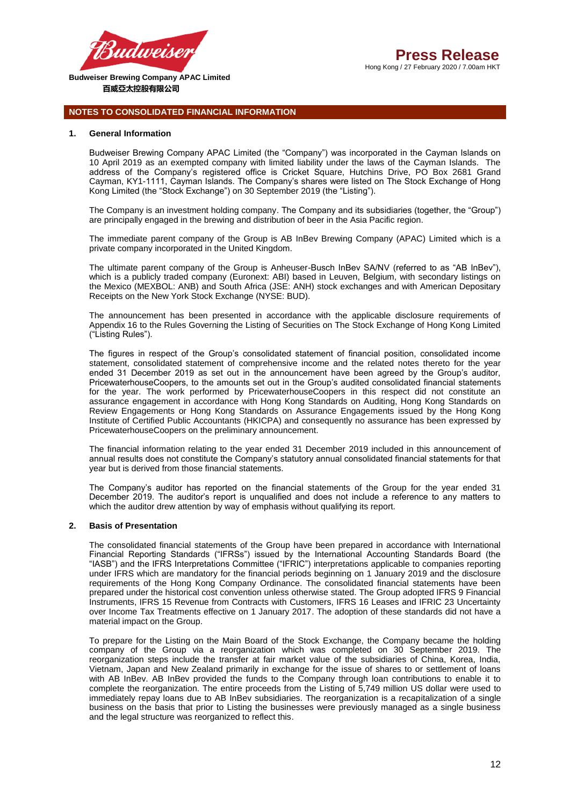

# **NOTES TO CONSOLIDATED FINANCIAL INFORMATION**

#### **1. General Information**

Budweiser Brewing Company APAC Limited (the "Company") was incorporated in the Cayman Islands on 10 April 2019 as an exempted company with limited liability under the laws of the Cayman Islands. The address of the Company's registered office is Cricket Square, Hutchins Drive, PO Box 2681 Grand Cayman, KY1-1111, Cayman Islands. The Company's shares were listed on The Stock Exchange of Hong Kong Limited (the "Stock Exchange") on 30 September 2019 (the "Listing").

The Company is an investment holding company. The Company and its subsidiaries (together, the "Group") are principally engaged in the brewing and distribution of beer in the Asia Pacific region.

The immediate parent company of the Group is AB InBev Brewing Company (APAC) Limited which is a private company incorporated in the United Kingdom.

The ultimate parent company of the Group is Anheuser-Busch InBev SA/NV (referred to as "AB InBev"), which is a publicly traded company (Euronext: ABI) based in Leuven, Belgium, with secondary listings on the Mexico (MEXBOL: ANB) and South Africa (JSE: ANH) stock exchanges and with American Depositary Receipts on the New York Stock Exchange (NYSE: BUD).

The announcement has been presented in accordance with the applicable disclosure requirements of Appendix 16 to the Rules Governing the Listing of Securities on The Stock Exchange of Hong Kong Limited ("Listing Rules").

The figures in respect of the Group's consolidated statement of financial position, consolidated income statement, consolidated statement of comprehensive income and the related notes thereto for the year ended 31 December 2019 as set out in the announcement have been agreed by the Group's auditor, PricewaterhouseCoopers, to the amounts set out in the Group's audited consolidated financial statements for the year. The work performed by PricewaterhouseCoopers in this respect did not constitute an assurance engagement in accordance with Hong Kong Standards on Auditing, Hong Kong Standards on Review Engagements or Hong Kong Standards on Assurance Engagements issued by the Hong Kong Institute of Certified Public Accountants (HKICPA) and consequently no assurance has been expressed by PricewaterhouseCoopers on the preliminary announcement.

The financial information relating to the year ended 31 December 2019 included in this announcement of annual results does not constitute the Company's statutory annual consolidated financial statements for that year but is derived from those financial statements.

The Company's auditor has reported on the financial statements of the Group for the year ended 31 December 2019. The auditor's report is unqualified and does not include a reference to any matters to which the auditor drew attention by way of emphasis without qualifying its report.

## **2. Basis of Presentation**

The consolidated financial statements of the Group have been prepared in accordance with International Financial Reporting Standards ("IFRSs") issued by the International Accounting Standards Board (the "IASB") and the IFRS Interpretations Committee ("IFRIC") interpretations applicable to companies reporting under IFRS which are mandatory for the financial periods beginning on 1 January 2019 and the disclosure requirements of the Hong Kong Company Ordinance. The consolidated financial statements have been prepared under the historical cost convention unless otherwise stated. The Group adopted IFRS 9 Financial Instruments, IFRS 15 Revenue from Contracts with Customers, IFRS 16 Leases and IFRIC 23 Uncertainty over Income Tax Treatments effective on 1 January 2017. The adoption of these standards did not have a material impact on the Group.

To prepare for the Listing on the Main Board of the Stock Exchange, the Company became the holding company of the Group via a reorganization which was completed on 30 September 2019. The reorganization steps include the transfer at fair market value of the subsidiaries of China, Korea, India, Vietnam, Japan and New Zealand primarily in exchange for the issue of shares to or settlement of loans with AB InBev. AB InBev provided the funds to the Company through loan contributions to enable it to complete the reorganization. The entire proceeds from the Listing of 5,749 million US dollar were used to immediately repay loans due to AB InBev subsidiaries. The reorganization is a recapitalization of a single business on the basis that prior to Listing the businesses were previously managed as a single business and the legal structure was reorganized to reflect this.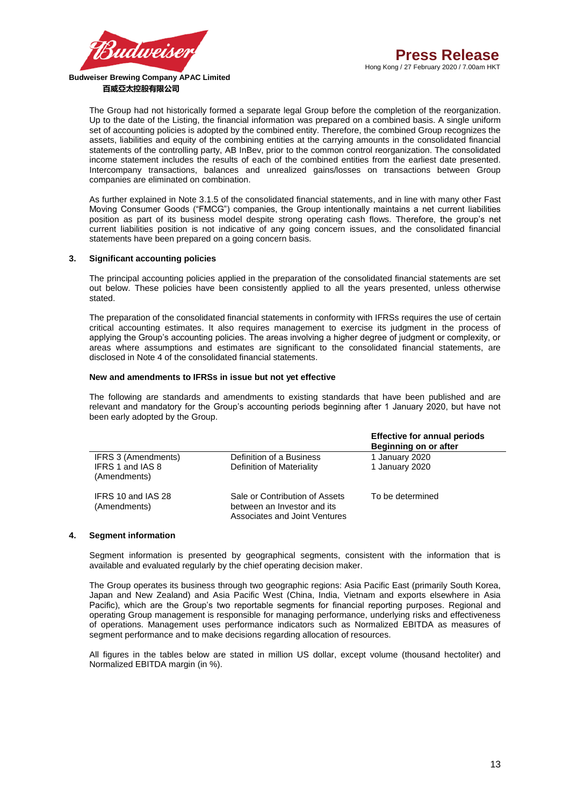

The Group had not historically formed a separate legal Group before the completion of the reorganization. Up to the date of the Listing, the financial information was prepared on a combined basis. A single uniform set of accounting policies is adopted by the combined entity. Therefore, the combined Group recognizes the assets, liabilities and equity of the combining entities at the carrying amounts in the consolidated financial statements of the controlling party, AB InBev, prior to the common control reorganization. The consolidated income statement includes the results of each of the combined entities from the earliest date presented. Intercompany transactions, balances and unrealized gains/losses on transactions between Group companies are eliminated on combination.

As further explained in Note 3.1.5 of the consolidated financial statements, and in line with many other Fast Moving Consumer Goods ("FMCG") companies, the Group intentionally maintains a net current liabilities position as part of its business model despite strong operating cash flows. Therefore, the group's net current liabilities position is not indicative of any going concern issues, and the consolidated financial statements have been prepared on a going concern basis.

## **3. Significant accounting policies**

The principal accounting policies applied in the preparation of the consolidated financial statements are set out below. These policies have been consistently applied to all the years presented, unless otherwise stated.

The preparation of the consolidated financial statements in conformity with IFRSs requires the use of certain critical accounting estimates. It also requires management to exercise its judgment in the process of applying the Group's accounting policies. The areas involving a higher degree of judgment or complexity, or areas where assumptions and estimates are significant to the consolidated financial statements, are disclosed in Note 4 of the consolidated financial statements.

#### **New and amendments to IFRSs in issue but not yet effective**

The following are standards and amendments to existing standards that have been published and are relevant and mandatory for the Group's accounting periods beginning after 1 January 2020, but have not been early adopted by the Group.

|                                    |                                                                                                | <b>Effective for annual periods</b><br><b>Beginning on or after</b> |
|------------------------------------|------------------------------------------------------------------------------------------------|---------------------------------------------------------------------|
| IFRS 3 (Amendments)                | Definition of a Business                                                                       | 1 January 2020                                                      |
| IFRS 1 and IAS 8<br>(Amendments)   | Definition of Materiality                                                                      | 1 January 2020                                                      |
| IFRS 10 and IAS 28<br>(Amendments) | Sale or Contribution of Assets<br>between an Investor and its<br>Associates and Joint Ventures | To be determined                                                    |

#### **4. Segment information**

Segment information is presented by geographical segments, consistent with the information that is available and evaluated regularly by the chief operating decision maker.

The Group operates its business through two geographic regions: Asia Pacific East (primarily South Korea, Japan and New Zealand) and Asia Pacific West (China, India, Vietnam and exports elsewhere in Asia Pacific), which are the Group's two reportable segments for financial reporting purposes. Regional and operating Group management is responsible for managing performance, underlying risks and effectiveness of operations. Management uses performance indicators such as Normalized EBITDA as measures of segment performance and to make decisions regarding allocation of resources.

All figures in the tables below are stated in million US dollar, except volume (thousand hectoliter) and Normalized EBITDA margin (in %).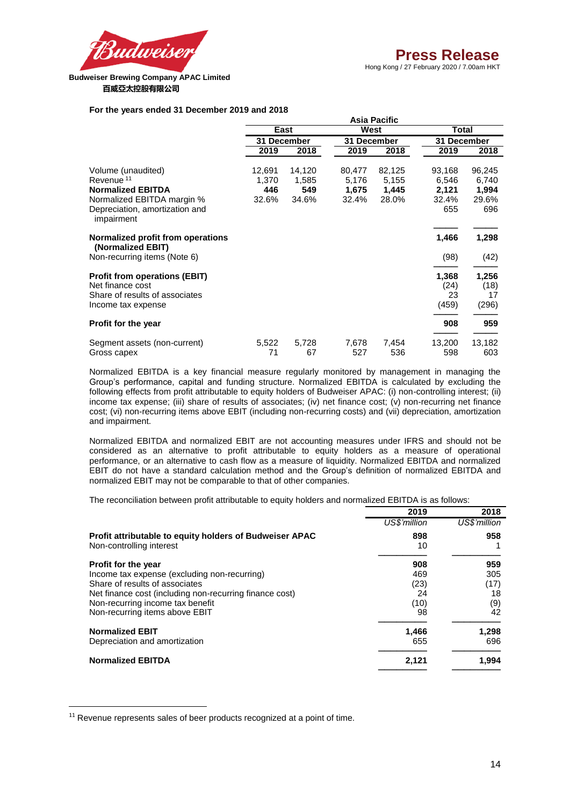

Hong Kong / 27 February 2020 / 7.00am HKT

## **For the years ended 31 December 2019 and 2018**

|                                                                                                                                                       |                                 |                                 |                                   | Asia Pacific                      |                                          |                                          |
|-------------------------------------------------------------------------------------------------------------------------------------------------------|---------------------------------|---------------------------------|-----------------------------------|-----------------------------------|------------------------------------------|------------------------------------------|
|                                                                                                                                                       |                                 | East                            | West                              |                                   | <b>Total</b>                             |                                          |
|                                                                                                                                                       |                                 | 31 December                     | 31 December                       |                                   | 31 December                              |                                          |
|                                                                                                                                                       | 2019                            | 2018                            | 2019                              | 2018                              | 2019                                     | 2018                                     |
| Volume (unaudited)<br>Revenue <sup>11</sup><br><b>Normalized EBITDA</b><br>Normalized EBITDA margin %<br>Depreciation, amortization and<br>impairment | 12,691<br>1,370<br>446<br>32.6% | 14,120<br>1,585<br>549<br>34.6% | 80,477<br>5,176<br>1,675<br>32.4% | 82,125<br>5,155<br>1,445<br>28.0% | 93,168<br>6,546<br>2,121<br>32.4%<br>655 | 96,245<br>6,740<br>1,994<br>29.6%<br>696 |
| Normalized profit from operations<br>(Normalized EBIT)<br>Non-recurring items (Note 6)                                                                |                                 |                                 |                                   |                                   | 1,466<br>(98)                            | 1,298<br>(42)                            |
| <b>Profit from operations (EBIT)</b><br>Net finance cost<br>Share of results of associates<br>Income tax expense                                      |                                 |                                 |                                   |                                   | 1,368<br>(24)<br>23<br>(459)             | 1,256<br>(18)<br>17<br>(296)             |
| Profit for the year                                                                                                                                   |                                 |                                 |                                   |                                   | 908                                      | 959                                      |
| Segment assets (non-current)<br>Gross capex                                                                                                           | 5,522<br>71                     | 5,728<br>67                     | 7,678<br>527                      | 7,454<br>536                      | 13,200<br>598                            | 13,182<br>603                            |

Normalized EBITDA is a key financial measure regularly monitored by management in managing the Group's performance, capital and funding structure. Normalized EBITDA is calculated by excluding the following effects from profit attributable to equity holders of Budweiser APAC: (i) non-controlling interest; (ii) income tax expense; (iii) share of results of associates; (iv) net finance cost; (v) non-recurring net finance cost; (vi) non-recurring items above EBIT (including non-recurring costs) and (vii) depreciation, amortization and impairment.

Normalized EBITDA and normalized EBIT are not accounting measures under IFRS and should not be considered as an alternative to profit attributable to equity holders as a measure of operational performance, or an alternative to cash flow as a measure of liquidity. Normalized EBITDA and normalized EBIT do not have a standard calculation method and the Group's definition of normalized EBITDA and normalized EBIT may not be comparable to that of other companies.

The reconciliation between profit attributable to equity holders and normalized EBITDA is as follows:

|                                                         | 2019         | 2018         |
|---------------------------------------------------------|--------------|--------------|
|                                                         | US\$'million | US\$'million |
| Profit attributable to equity holders of Budweiser APAC | 898          | 958          |
| Non-controlling interest                                | 10           |              |
| <b>Profit for the year</b>                              | 908          | 959          |
| Income tax expense (excluding non-recurring)            | 469          | 305          |
| Share of results of associates                          | (23)         | (17)         |
| Net finance cost (including non-recurring finance cost) | 24           | 18           |
| Non-recurring income tax benefit                        | (10)         | (9)          |
| Non-recurring items above EBIT                          | 98           | 42           |
| <b>Normalized EBIT</b>                                  | 1,466        | 1,298        |
| Depreciation and amortization                           | 655          | 696          |
| <b>Normalized EBITDA</b>                                | 2,121        | 1,994        |

 $11$  Revenue represents sales of beer products recognized at a point of time.

**.**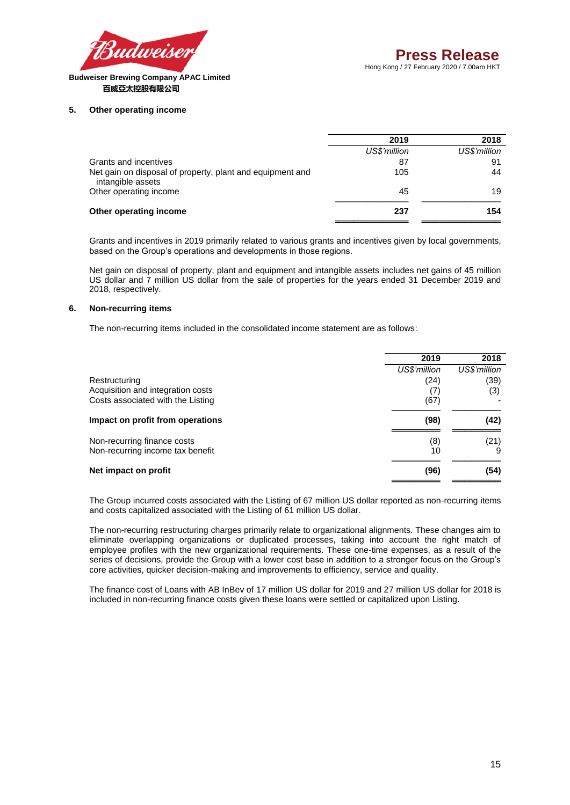

## **5. Other operating income**

|                                                                                | 2019         | 2018         |
|--------------------------------------------------------------------------------|--------------|--------------|
|                                                                                | US\$'million | US\$'million |
| Grants and incentives                                                          | 87           | 91           |
| Net gain on disposal of property, plant and equipment and<br>intangible assets | 105          | 44           |
| Other operating income                                                         | 45           | 19           |
| Other operating income                                                         | 237          | 154          |
|                                                                                |              |              |

Grants and incentives in 2019 primarily related to various grants and incentives given by local governments, based on the Group's operations and developments in those regions.

Net gain on disposal of property, plant and equipment and intangible assets includes net gains of 45 million US dollar and 7 million US dollar from the sale of properties for the years ended 31 December 2019 and 2018, respectively.

# **6. Non-recurring items**

The non-recurring items included in the consolidated income statement are as follows:

|                                   | 2019         | 2018         |
|-----------------------------------|--------------|--------------|
|                                   | US\$'million | US\$'million |
| Restructuring                     | (24)         | (39)         |
| Acquisition and integration costs | (7)          | (3)          |
| Costs associated with the Listing | (67)         |              |
| Impact on profit from operations  | (98)         | (42)         |
| Non-recurring finance costs       | (8)          | (21)         |
| Non-recurring income tax benefit  | 10           |              |
| Net impact on profit              | (96)         | (54)         |

The Group incurred costs associated with the Listing of 67 million US dollar reported as non-recurring items and costs capitalized associated with the Listing of 61 million US dollar.

The non-recurring restructuring charges primarily relate to organizational alignments. These changes aim to eliminate overlapping organizations or duplicated processes, taking into account the right match of employee profiles with the new organizational requirements. These one-time expenses, as a result of the series of decisions, provide the Group with a lower cost base in addition to a stronger focus on the Group's core activities, quicker decision-making and improvements to efficiency, service and quality.

The finance cost of Loans with AB InBev of 17 million US dollar for 2019 and 27 million US dollar for 2018 is included in non-recurring finance costs given these loans were settled or capitalized upon Listing.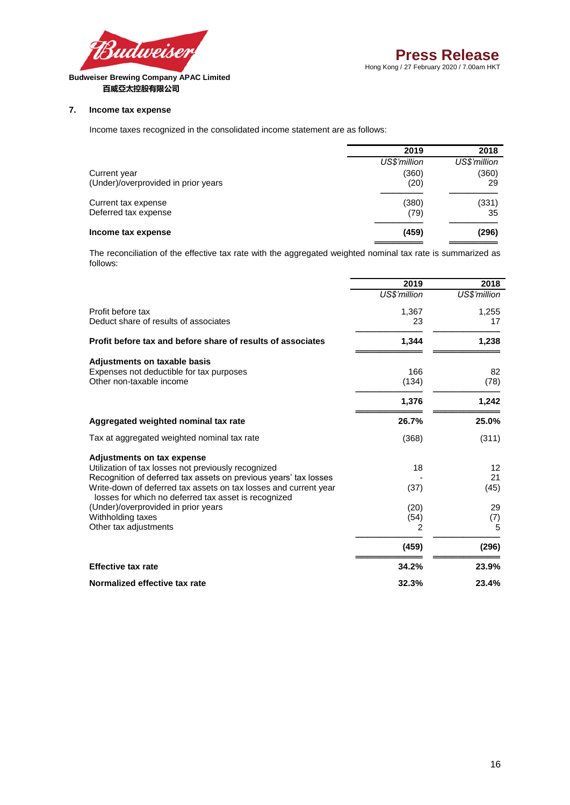

# **7. Income tax expense**

Income taxes recognized in the consolidated income statement are as follows:

|                                     | 2019         | 2018         |
|-------------------------------------|--------------|--------------|
|                                     | US\$'million | US\$'million |
| Current year                        | (360)        | (360)        |
| (Under)/overprovided in prior years | (20)         | 29           |
| Current tax expense                 | (380)        | (331)        |
| Deferred tax expense                | (79)         | 35           |
| Income tax expense                  | (459)        | (296)        |
|                                     |              |              |

The reconciliation of the effective tax rate with the aggregated weighted nominal tax rate is summarized as follows:

|                                                                                                                          | 2019         | 2018         |
|--------------------------------------------------------------------------------------------------------------------------|--------------|--------------|
|                                                                                                                          | US\$'million | US\$'million |
| Profit before tax                                                                                                        | 1,367        | 1,255        |
| Deduct share of results of associates                                                                                    | 23           | 17           |
| Profit before tax and before share of results of associates                                                              | 1,344        | 1,238        |
| Adjustments on taxable basis                                                                                             |              |              |
| Expenses not deductible for tax purposes                                                                                 | 166          | 82           |
| Other non-taxable income                                                                                                 | (134)        | (78)         |
|                                                                                                                          | 1,376        | 1,242        |
| Aggregated weighted nominal tax rate                                                                                     | 26.7%        | 25.0%        |
| Tax at aggregated weighted nominal tax rate                                                                              | (368)        | (311)        |
| Adjustments on tax expense                                                                                               |              |              |
| Utilization of tax losses not previously recognized                                                                      | 18           | 12           |
| Recognition of deferred tax assets on previous years' tax losses                                                         |              | 21           |
| Write-down of deferred tax assets on tax losses and current year<br>losses for which no deferred tax asset is recognized | (37)         | (45)         |
| (Under)/overprovided in prior years                                                                                      | (20)         | 29           |
| Withholding taxes                                                                                                        | (54)         | (7)          |
| Other tax adjustments                                                                                                    | 2            | 5            |
|                                                                                                                          | (459)        | (296)        |
| <b>Effective tax rate</b>                                                                                                | 34.2%        | 23.9%        |
| Normalized effective tax rate                                                                                            | 32.3%        | 23.4%        |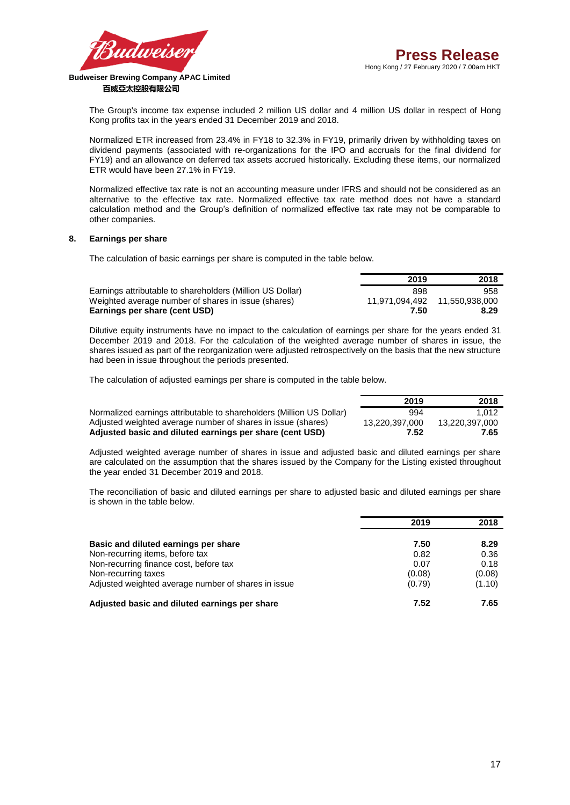

**2019 2018**

# **百威亞太控股有限公司**

The Group's income tax expense included 2 million US dollar and 4 million US dollar in respect of Hong Kong profits tax in the years ended 31 December 2019 and 2018.

Normalized ETR increased from 23.4% in FY18 to 32.3% in FY19, primarily driven by withholding taxes on dividend payments (associated with re-organizations for the IPO and accruals for the final dividend for FY19) and an allowance on deferred tax assets accrued historically. Excluding these items, our normalized ETR would have been 27.1% in FY19.

Normalized effective tax rate is not an accounting measure under IFRS and should not be considered as an alternative to the effective tax rate. Normalized effective tax rate method does not have a standard calculation method and the Group's definition of normalized effective tax rate may not be comparable to other companies.

## **8. Earnings per share**

The calculation of basic earnings per share is computed in the table below.

|                                                           | 2019 | 2018 |
|-----------------------------------------------------------|------|------|
| Earnings attributable to shareholders (Million US Dollar) | 898  | 958  |
| Weighted average number of shares in issue (shares)       |      |      |
| Earnings per share (cent USD)                             | 7.50 | 8.29 |

Dilutive equity instruments have no impact to the calculation of earnings per share for the years ended 31 December 2019 and 2018. For the calculation of the weighted average number of shares in issue, the shares issued as part of the reorganization were adjusted retrospectively on the basis that the new structure had been in issue throughout the periods presented.

The calculation of adjusted earnings per share is computed in the table below.

|                                                                      | .              | ---            |
|----------------------------------------------------------------------|----------------|----------------|
| Normalized earnings attributable to shareholders (Million US Dollar) | 994            | 1.012          |
| Adjusted weighted average number of shares in issue (shares)         | 13.220.397.000 | 13.220.397.000 |
| Adjusted basic and diluted earnings per share (cent USD)             | 7.52           | 7.65           |

Adjusted weighted average number of shares in issue and adjusted basic and diluted earnings per share are calculated on the assumption that the shares issued by the Company for the Listing existed throughout the year ended 31 December 2019 and 2018.

The reconciliation of basic and diluted earnings per share to adjusted basic and diluted earnings per share is shown in the table below.

|                                                                           | 2019         | 2018         |
|---------------------------------------------------------------------------|--------------|--------------|
| Basic and diluted earnings per share                                      | 7.50         | 8.29         |
| Non-recurring items, before tax<br>Non-recurring finance cost, before tax | 0.82<br>0.07 | 0.36<br>0.18 |
| Non-recurring taxes                                                       | (0.08)       | (0.08)       |
| Adjusted weighted average number of shares in issue                       | (0.79)       | (1.10)       |
| Adjusted basic and diluted earnings per share                             | 7.52         | 7.65         |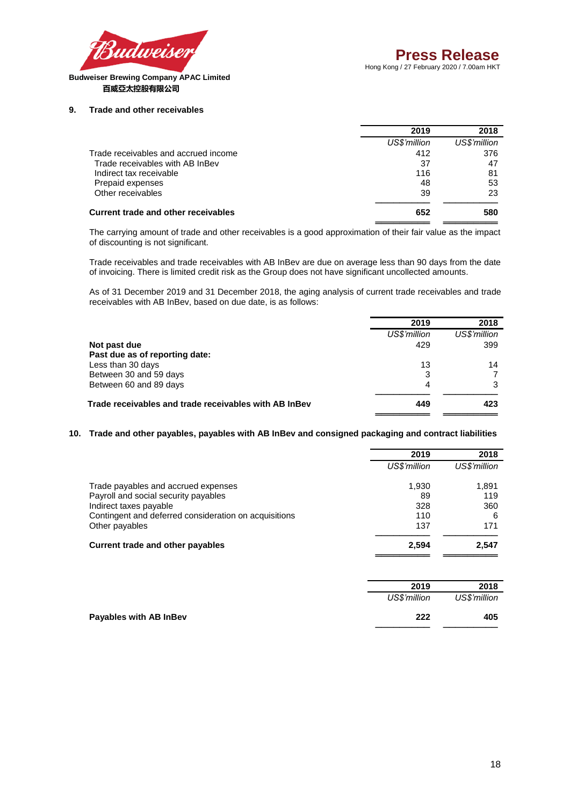

#### **9. Trade and other receivables**

|                                      | 2019         | 2018         |
|--------------------------------------|--------------|--------------|
|                                      | US\$'million | US\$'million |
| Trade receivables and accrued income | 412          | 376          |
| Trade receivables with AB InBev      | 37           | 47           |
| Indirect tax receivable              | 116          | 81           |
| Prepaid expenses                     | 48           | 53           |
| Other receivables                    | 39           | 23           |
| Current trade and other receivables  | 652          | 580          |
|                                      |              |              |

The carrying amount of trade and other receivables is a good approximation of their fair value as the impact of discounting is not significant.

Trade receivables and trade receivables with AB InBev are due on average less than 90 days from the date of invoicing. There is limited credit risk as the Group does not have significant uncollected amounts.

As of 31 December 2019 and 31 December 2018, the aging analysis of current trade receivables and trade receivables with AB InBev, based on due date, is as follows:

|                                                       | 2019         | 2018         |
|-------------------------------------------------------|--------------|--------------|
|                                                       | US\$'million | US\$'million |
| Not past due                                          | 429          | 399          |
| Past due as of reporting date:                        |              |              |
| Less than 30 days                                     | 13           | 14           |
| Between 30 and 59 days                                | 3            |              |
| Between 60 and 89 days                                | 4            | 3            |
| Trade receivables and trade receivables with AB InBev | 449          | 423          |
|                                                       |              |              |

# **10. Trade and other payables, payables with AB InBev and consigned packaging and contract liabilities**

|                                                       | 2019         | 2018         |
|-------------------------------------------------------|--------------|--------------|
|                                                       | US\$'million | US\$'million |
| Trade payables and accrued expenses                   | 1.930        | 1,891        |
| Payroll and social security payables                  | 89           | 119          |
| Indirect taxes payable                                | 328          | 360          |
| Contingent and deferred consideration on acquisitions | 110          | 6            |
| Other payables                                        | 137          | 171          |
| Current trade and other payables                      | 2,594        | 2.547        |
|                                                       |              |              |

| 2019         | 2018         |
|--------------|--------------|
| US\$'million | US\$'million |
| 222          | 405          |
|              |              |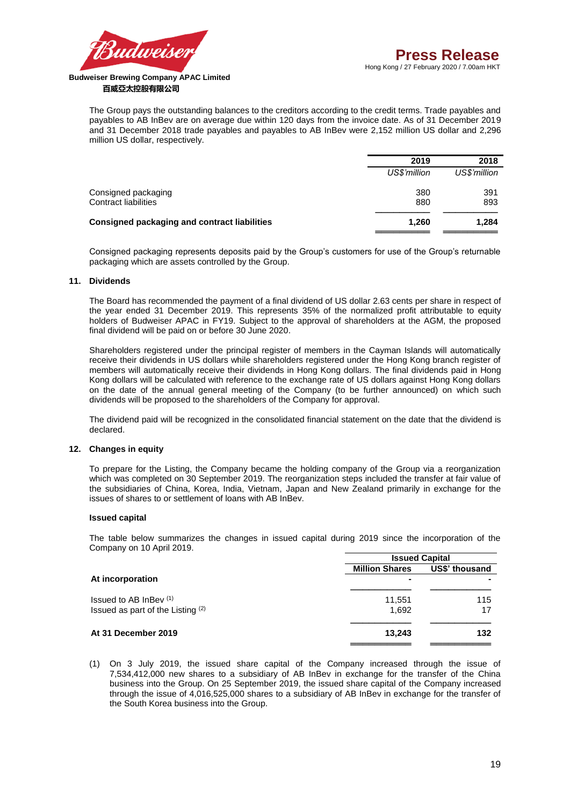

The Group pays the outstanding balances to the creditors according to the credit terms. Trade payables and payables to AB InBev are on average due within 120 days from the invoice date. As of 31 December 2019 and 31 December 2018 trade payables and payables to AB InBev were 2,152 million US dollar and 2,296 million US dollar, respectively.

|                                                     | 2019         | 2018         |
|-----------------------------------------------------|--------------|--------------|
|                                                     | US\$'million | US\$'million |
| Consigned packaging                                 | 380          | 391          |
| <b>Contract liabilities</b>                         | 880          | 893          |
| <b>Consigned packaging and contract liabilities</b> | 1.260        | 1,284        |
|                                                     |              |              |

Consigned packaging represents deposits paid by the Group's customers for use of the Group's returnable packaging which are assets controlled by the Group.

# **11. Dividends**

The Board has recommended the payment of a final dividend of US dollar 2.63 cents per share in respect of the year ended 31 December 2019. This represents 35% of the normalized profit attributable to equity holders of Budweiser APAC in FY19. Subject to the approval of shareholders at the AGM, the proposed final dividend will be paid on or before 30 June 2020.

Shareholders registered under the principal register of members in the Cayman Islands will automatically receive their dividends in US dollars while shareholders registered under the Hong Kong branch register of members will automatically receive their dividends in Hong Kong dollars. The final dividends paid in Hong Kong dollars will be calculated with reference to the exchange rate of US dollars against Hong Kong dollars on the date of the annual general meeting of the Company (to be further announced) on which such dividends will be proposed to the shareholders of the Company for approval.

The dividend paid will be recognized in the consolidated financial statement on the date that the dividend is declared.

# **12. Changes in equity**

To prepare for the Listing, the Company became the holding company of the Group via a reorganization which was completed on 30 September 2019. The reorganization steps included the transfer at fair value of the subsidiaries of China, Korea, India, Vietnam, Japan and New Zealand primarily in exchange for the issues of shares to or settlement of loans with AB InBev.

## **Issued capital**

The table below summarizes the changes in issued capital during 2019 since the incorporation of the Company on 10 April 2019.

|                                   | <b>Issued Capital</b> |                |  |
|-----------------------------------|-----------------------|----------------|--|
|                                   | <b>Million Shares</b> | US\$' thousand |  |
| At incorporation                  | $\blacksquare$        |                |  |
| Issued to AB InBey $(1)$          | 11,551                | 115            |  |
| Issued as part of the Listing (2) | 1.692                 | 17             |  |
| At 31 December 2019               | 13,243                | 132            |  |
|                                   |                       |                |  |

(1) On 3 July 2019, the issued share capital of the Company increased through the issue of 7,534,412,000 new shares to a subsidiary of AB InBev in exchange for the transfer of the China business into the Group. On 25 September 2019, the issued share capital of the Company increased through the issue of 4,016,525,000 shares to a subsidiary of AB InBev in exchange for the transfer of the South Korea business into the Group.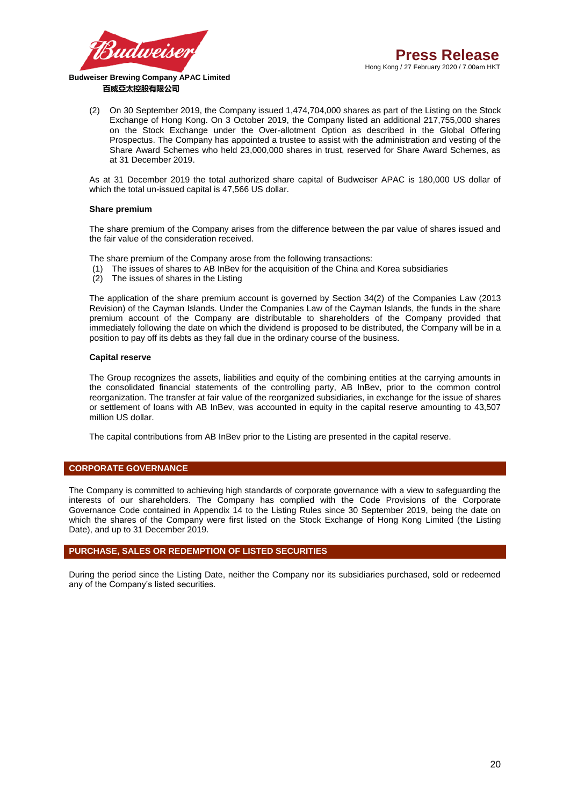

(2) On 30 September 2019, the Company issued 1,474,704,000 shares as part of the Listing on the Stock Exchange of Hong Kong. On 3 October 2019, the Company listed an additional 217,755,000 shares on the Stock Exchange under the Over-allotment Option as described in the Global Offering Prospectus. The Company has appointed a trustee to assist with the administration and vesting of the Share Award Schemes who held 23,000,000 shares in trust, reserved for Share Award Schemes, as at 31 December 2019.

As at 31 December 2019 the total authorized share capital of Budweiser APAC is 180,000 US dollar of which the total un-issued capital is 47,566 US dollar.

## **Share premium**

The share premium of the Company arises from the difference between the par value of shares issued and the fair value of the consideration received.

The share premium of the Company arose from the following transactions:

- (1) The issues of shares to AB InBev for the acquisition of the China and Korea subsidiaries
- (2) The issues of shares in the Listing

The application of the share premium account is governed by Section 34(2) of the Companies Law (2013 Revision) of the Cayman Islands. Under the Companies Law of the Cayman Islands, the funds in the share premium account of the Company are distributable to shareholders of the Company provided that immediately following the date on which the dividend is proposed to be distributed, the Company will be in a position to pay off its debts as they fall due in the ordinary course of the business.

#### **Capital reserve**

The Group recognizes the assets, liabilities and equity of the combining entities at the carrying amounts in the consolidated financial statements of the controlling party, AB InBev, prior to the common control reorganization. The transfer at fair value of the reorganized subsidiaries, in exchange for the issue of shares or settlement of loans with AB InBev, was accounted in equity in the capital reserve amounting to 43,507 million US dollar.

The capital contributions from AB InBev prior to the Listing are presented in the capital reserve.

## **CORPORATE GOVERNANCE**

The Company is committed to achieving high standards of corporate governance with a view to safeguarding the interests of our shareholders. The Company has complied with the Code Provisions of the Corporate Governance Code contained in Appendix 14 to the Listing Rules since 30 September 2019, being the date on which the shares of the Company were first listed on the Stock Exchange of Hong Kong Limited (the Listing Date), and up to 31 December 2019.

# **PURCHASE, SALES OR REDEMPTION OF LISTED SECURITIES**

During the period since the Listing Date, neither the Company nor its subsidiaries purchased, sold or redeemed any of the Company's listed securities.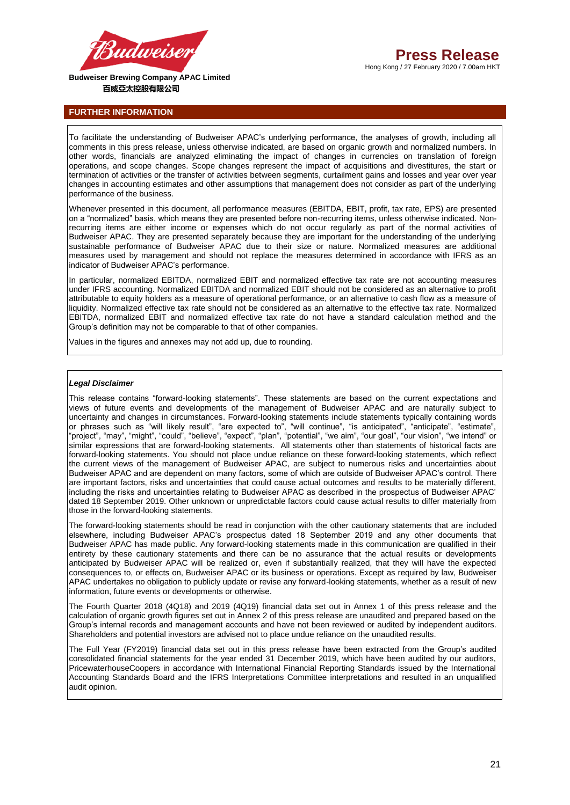

**FURTHER INFORMATION**

To facilitate the understanding of Budweiser APAC's underlying performance, the analyses of growth, including all comments in this press release, unless otherwise indicated, are based on organic growth and normalized numbers. In other words, financials are analyzed eliminating the impact of changes in currencies on translation of foreign operations, and scope changes. Scope changes represent the impact of acquisitions and divestitures, the start or termination of activities or the transfer of activities between segments, curtailment gains and losses and year over year changes in accounting estimates and other assumptions that management does not consider as part of the underlying performance of the business.

Whenever presented in this document, all performance measures (EBITDA, EBIT, profit, tax rate, EPS) are presented on a "normalized" basis, which means they are presented before non-recurring items, unless otherwise indicated. Nonrecurring items are either income or expenses which do not occur regularly as part of the normal activities of Budweiser APAC. They are presented separately because they are important for the understanding of the underlying sustainable performance of Budweiser APAC due to their size or nature. Normalized measures are additional measures used by management and should not replace the measures determined in accordance with IFRS as an indicator of Budweiser APAC's performance.

In particular, normalized EBITDA, normalized EBIT and normalized effective tax rate are not accounting measures under IFRS accounting. Normalized EBITDA and normalized EBIT should not be considered as an alternative to profit attributable to equity holders as a measure of operational performance, or an alternative to cash flow as a measure of liquidity. Normalized effective tax rate should not be considered as an alternative to the effective tax rate. Normalized EBITDA, normalized EBIT and normalized effective tax rate do not have a standard calculation method and the Group's definition may not be comparable to that of other companies.

Values in the figures and annexes may not add up, due to rounding.

#### *Legal Disclaimer*

This release contains "forward-looking statements". These statements are based on the current expectations and views of future events and developments of the management of Budweiser APAC and are naturally subject to uncertainty and changes in circumstances. Forward-looking statements include statements typically containing words or phrases such as "will likely result", "are expected to", "will continue", "is anticipated", "anticipate", "estimate", "project", "may", "might", "could", "believe", "expect", "plan", "potential", "we aim", "our goal", "our vision", "we intend" or similar expressions that are forward-looking statements. All statements other than statements of historical facts are forward-looking statements. You should not place undue reliance on these forward-looking statements, which reflect the current views of the management of Budweiser APAC, are subject to numerous risks and uncertainties about Budweiser APAC and are dependent on many factors, some of which are outside of Budweiser APAC's control. There are important factors, risks and uncertainties that could cause actual outcomes and results to be materially different, including the risks and uncertainties relating to Budweiser APAC as described in the prospectus of Budweiser APAC' dated 18 September 2019. Other unknown or unpredictable factors could cause actual results to differ materially from those in the forward-looking statements.

The forward-looking statements should be read in conjunction with the other cautionary statements that are included elsewhere, including Budweiser APAC's prospectus dated 18 September 2019 and any other documents that Budweiser APAC has made public. Any forward-looking statements made in this communication are qualified in their entirety by these cautionary statements and there can be no assurance that the actual results or developments anticipated by Budweiser APAC will be realized or, even if substantially realized, that they will have the expected consequences to, or effects on, Budweiser APAC or its business or operations. Except as required by law, Budweiser APAC undertakes no obligation to publicly update or revise any forward-looking statements, whether as a result of new information, future events or developments or otherwise.

The Fourth Quarter 2018 (4Q18) and 2019 (4Q19) financial data set out in Annex 1 of this press release and the calculation of organic growth figures set out in Annex 2 of this press release are unaudited and prepared based on the Group's internal records and management accounts and have not been reviewed or audited by independent auditors. Shareholders and potential investors are advised not to place undue reliance on the unaudited results.

The Full Year (FY2019) financial data set out in this press release have been extracted from the Group's audited consolidated financial statements for the year ended 31 December 2019, which have been audited by our auditors, PricewaterhouseCoopers in accordance with International Financial Reporting Standards issued by the International Accounting Standards Board and the IFRS Interpretations Committee interpretations and resulted in an unqualified audit opinion.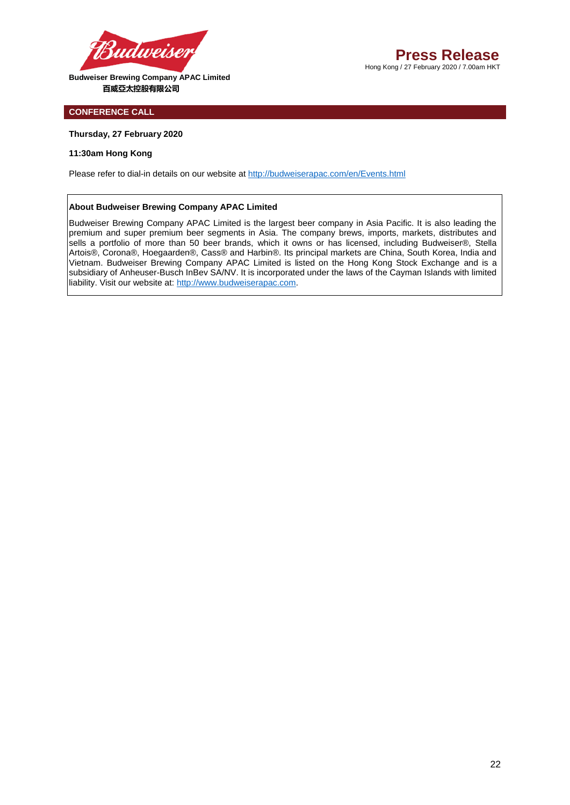

# **CONFERENCE CALL**

## **Thursday, 27 February 2020**

# **11:30am Hong Kong**

Please refer to dial-in details on our website at<http://budweiserapac.com/en/Events.html>

#### **About Budweiser Brewing Company APAC Limited**

Budweiser Brewing Company APAC Limited is the largest beer company in Asia Pacific. It is also leading the premium and super premium beer segments in Asia. The company brews, imports, markets, distributes and sells a portfolio of more than 50 beer brands, which it owns or has licensed, including Budweiser®, Stella Artois®, Corona®, Hoegaarden®, Cass® and Harbin®. Its principal markets are China, South Korea, India and Vietnam. Budweiser Brewing Company APAC Limited is listed on the Hong Kong Stock Exchange and is a subsidiary of Anheuser-Busch InBev SA/NV. It is incorporated under the laws of the Cayman Islands with limited liability. Visit our website at[: http://www.budweiserapac.com.](http://www.budweiserapac.com/)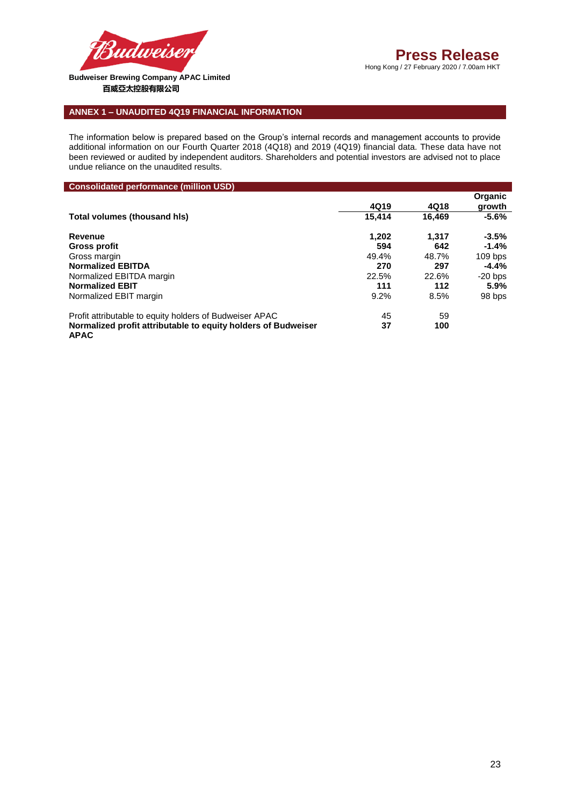

ı

Hong Kong / 27 February 2020 / 7.00am HKT

# **ANNEX 1 – UNAUDITED 4Q19 FINANCIAL INFORMATION**

The information below is prepared based on the Group's internal records and management accounts to provide additional information on our Fourth Quarter 2018 (4Q18) and 2019 (4Q19) financial data. These data have not been reviewed or audited by independent auditors. Shareholders and potential investors are advised not to place undue reliance on the unaudited results.

| <b>Consolidated performance (million USD)</b>                                |        |        |                   |
|------------------------------------------------------------------------------|--------|--------|-------------------|
|                                                                              | 4Q19   | 4Q18   | Organic<br>growth |
| Total volumes (thousand his)                                                 | 15.414 | 16.469 | $-5.6%$           |
| Revenue                                                                      | 1.202  | 1.317  | $-3.5%$           |
| Gross profit                                                                 | 594    | 642    | $-1.4%$           |
| Gross margin                                                                 | 49.4%  | 48.7%  | $109$ bps         |
| <b>Normalized EBITDA</b>                                                     | 270    | 297    | $-4.4%$           |
| Normalized EBITDA margin                                                     | 22.5%  | 22.6%  | $-20$ bps         |
| <b>Normalized EBIT</b>                                                       | 111    | 112    | 5.9%              |
| Normalized EBIT margin                                                       | 9.2%   | 8.5%   | 98 bps            |
| Profit attributable to equity holders of Budweiser APAC                      | 45     | 59     |                   |
| Normalized profit attributable to equity holders of Budweiser<br><b>APAC</b> | 37     | 100    |                   |